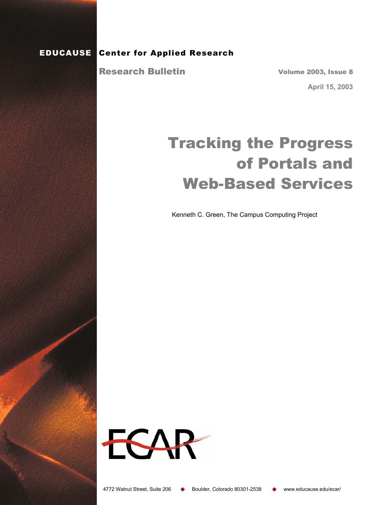### EDUCAUSE Center for Applied Research

Research Bulletin

Volume 2003, Issue 8

**April 15, 2003** 

# Tracking the Progress of Portals and Web-Based Services

Kenneth C. Green, The Campus Computing Project

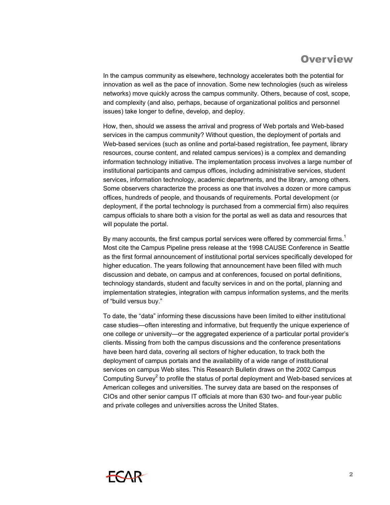### **Overview**

In the campus community as elsewhere, technology accelerates both the potential for innovation as well as the pace of innovation. Some new technologies (such as wireless networks) move quickly across the campus community. Others, because of cost, scope, and complexity (and also, perhaps, because of organizational politics and personnel issues) take longer to define, develop, and deploy.

How, then, should we assess the arrival and progress of Web portals and Web-based services in the campus community? Without question, the deployment of portals and Web-based services (such as online and portal-based registration, fee payment, library resources, course content, and related campus services) is a complex and demanding information technology initiative. The implementation process involves a large number of institutional participants and campus offices, including administrative services, student services, information technology, academic departments, and the library, among others. Some observers characterize the process as one that involves a dozen or more campus offices, hundreds of people, and thousands of requirements. Portal development (or deployment, if the portal technology is purchased from a commercial firm) also requires campus officials to share both a vision for the portal as well as data and resources that will populate the portal.

By many accounts, the first campus portal services were offered by commercial firms.<sup>1</sup> Most cite the Campus Pipeline press release at the 1998 CAUSE Conference in Seattle as the first formal announcement of institutional portal services specifically developed for higher education. The years following that announcement have been filled with much discussion and debate, on campus and at conferences, focused on portal definitions, technology standards, student and faculty services in and on the portal, planning and implementation strategies, integration with campus information systems, and the merits of "build versus buy."

To date, the "data" informing these discussions have been limited to either institutional case studies—often interesting and informative, but frequently the unique experience of one college or university—or the aggregated experience of a particular portal provider's clients. Missing from both the campus discussions and the conference presentations have been hard data, covering all sectors of higher education, to track both the deployment of campus portals and the availability of a wide range of institutional services on campus Web sites. This Research Bulletin draws on the 2002 Campus Computing Survey<sup>2</sup> to profile the status of portal deployment and Web-based services at American colleges and universities. The survey data are based on the responses of CIOs and other senior campus IT officials at more than 630 two- and four-year public and private colleges and universities across the United States.

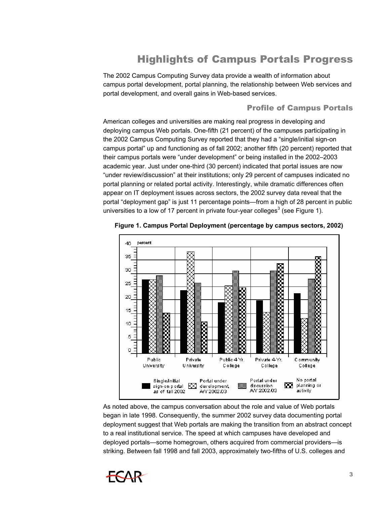# Highlights of Campus Portals Progress

The 2002 Campus Computing Survey data provide a wealth of information about campus portal development, portal planning, the relationship between Web services and portal development, and overall gains in Web-based services.

#### Profile of Campus Portals

American colleges and universities are making real progress in developing and deploying campus Web portals. One-fifth (21 percent) of the campuses participating in the 2002 Campus Computing Survey reported that they had a "single/initial sign-on campus portal" up and functioning as of fall 2002; another fifth (20 percent) reported that their campus portals were "under development" or being installed in the 2002–2003 academic year. Just under one-third (30 percent) indicated that portal issues are now "under review/discussion" at their institutions; only 29 percent of campuses indicated no portal planning or related portal activity. Interestingly, while dramatic differences often appear on IT deployment issues across sectors, the 2002 survey data reveal that the portal "deployment gap" is just 11 percentage points—from a high of 28 percent in public universities to a low of 17 percent in private four-year colleges<sup>3</sup> (see Figure 1).



 **Figure 1. Campus Portal Deployment (percentage by campus sectors, 2002)** 

As noted above, the campus conversation about the role and value of Web portals began in late 1998. Consequently, the summer 2002 survey data documenting portal deployment suggest that Web portals are making the transition from an abstract concept to a real institutional service. The speed at which campuses have developed and deployed portals—some homegrown, others acquired from commercial providers—is striking. Between fall 1998 and fall 2003, approximately two-fifths of U.S. colleges and

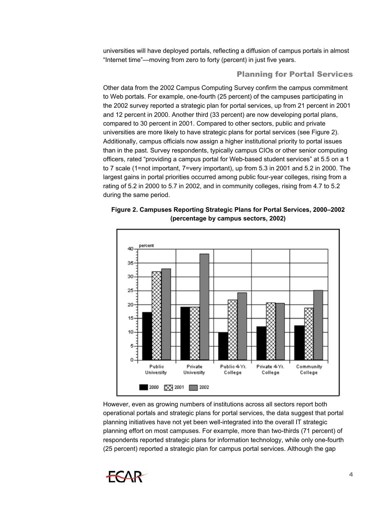universities will have deployed portals, reflecting a diffusion of campus portals in almost "Internet time"—moving from zero to forty (percent) in just five years.

#### Planning for Portal Services

Other data from the 2002 Campus Computing Survey confirm the campus commitment to Web portals. For example, one-fourth (25 percent) of the campuses participating in the 2002 survey reported a strategic plan for portal services, up from 21 percent in 2001 and 12 percent in 2000. Another third (33 percent) are now developing portal plans, compared to 30 percent in 2001. Compared to other sectors, public and private universities are more likely to have strategic plans for portal services (see Figure 2). Additionally, campus officials now assign a higher institutional priority to portal issues than in the past. Survey respondents, typically campus CIOs or other senior computing officers, rated "providing a campus portal for Web-based student services" at 5.5 on a 1 to 7 scale (1=not important, 7=very important), up from 5.3 in 2001 and 5.2 in 2000. The largest gains in portal priorities occurred among public four-year colleges, rising from a rating of 5.2 in 2000 to 5.7 in 2002, and in community colleges, rising from 4.7 to 5.2 during the same period.

**Figure 2. Campuses Reporting Strategic Plans for Portal Services, 2000–2002 (percentage by campus sectors, 2002)** 



However, even as growing numbers of institutions across all sectors report both operational portals and strategic plans for portal services, the data suggest that portal planning initiatives have not yet been well-integrated into the overall IT strategic planning effort on most campuses. For example, more than two-thirds (71 percent) of respondents reported strategic plans for information technology, while only one-fourth (25 percent) reported a strategic plan for campus portal services. Although the gap

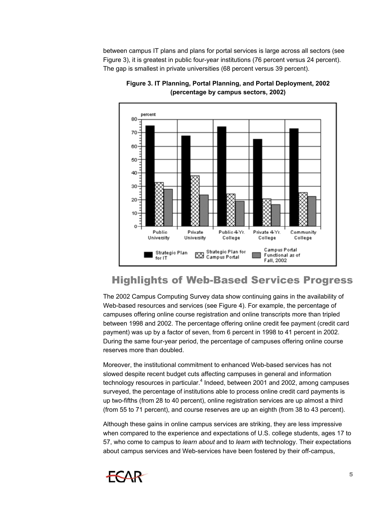between campus IT plans and plans for portal services is large across all sectors (see Figure 3), it is greatest in public four-year institutions (76 percent versus 24 percent). The gap is smallest in private universities (68 percent versus 39 percent).



**Figure 3. IT Planning, Portal Planning, and Portal Deployment, 2002 (percentage by campus sectors, 2002)** 

# Highlights of Web-Based Services Progress

The 2002 Campus Computing Survey data show continuing gains in the availability of Web-based resources and services (see Figure 4). For example, the percentage of campuses offering online course registration and online transcripts more than tripled between 1998 and 2002. The percentage offering online credit fee payment (credit card payment) was up by a factor of seven, from 6 percent in 1998 to 41 percent in 2002. During the same four-year period, the percentage of campuses offering online course reserves more than doubled.

Moreover, the institutional commitment to enhanced Web-based services has not slowed despite recent budget cuts affecting campuses in general and information technology resources in particular.<sup>4</sup> Indeed, between 2001 and 2002, among campuses surveyed, the percentage of institutions able to process online credit card payments is up two-fifths (from 28 to 40 percent), online registration services are up almost a third (from 55 to 71 percent), and course reserves are up an eighth (from 38 to 43 percent).

Although these gains in online campus services are striking, they are less impressive when compared to the experience and expectations of U.S. college students, ages 17 to 57, who come to campus to *learn about* and to *learn with* technology. Their expectations about campus services and Web-services have been fostered by their off-campus,

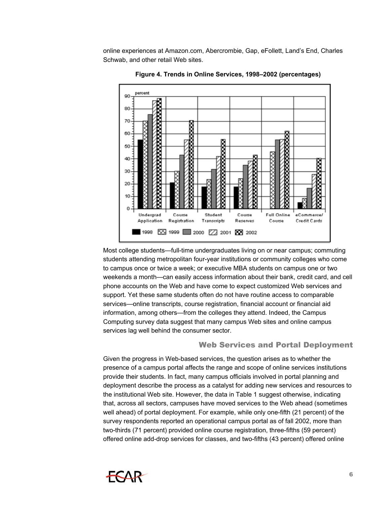online experiences at Amazon.com, Abercrombie, Gap, eFollett, Land's End, Charles Schwab, and other retail Web sites.



**Figure 4. Trends in Online Services, 1998–2002 (percentages)** 

Most college students—full-time undergraduates living on or near campus; commuting students attending metropolitan four-year institutions or community colleges who come to campus once or twice a week; or executive MBA students on campus one or two weekends a month—can easily access information about their bank, credit card, and cell phone accounts on the Web and have come to expect customized Web services and support. Yet these same students often do not have routine access to comparable services—online transcripts, course registration, financial account or financial aid information, among others—from the colleges they attend. Indeed, the Campus Computing survey data suggest that many campus Web sites and online campus services lag well behind the consumer sector.

#### Web Services and Portal Deployment

Given the progress in Web-based services, the question arises as to whether the presence of a campus portal affects the range and scope of online services institutions provide their students. In fact, many campus officials involved in portal planning and deployment describe the process as a catalyst for adding new services and resources to the institutional Web site. However, the data in Table 1 suggest otherwise, indicating that, across all sectors, campuses have moved services to the Web ahead (sometimes well ahead) of portal deployment. For example, while only one-fifth (21 percent) of the survey respondents reported an operational campus portal as of fall 2002, more than two-thirds (71 percent) provided online course registration, three-fifths (59 percent) offered online add-drop services for classes, and two-fifths (43 percent) offered online

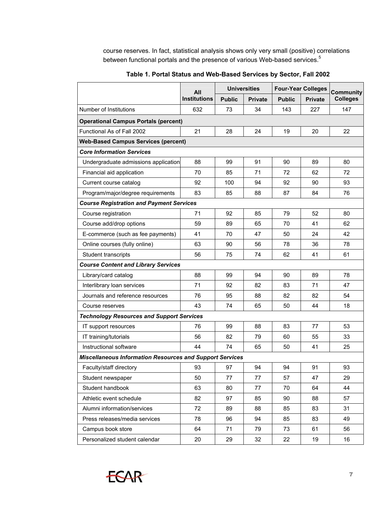course reserves. In fact, statistical analysis shows only very small (positive) correlations between functional portals and the presence of various Web-based services.<sup>5</sup>

|                                                                 | All<br><b>Institutions</b> | <b>Universities</b> |                | <b>Four-Year Colleges</b> |                | <b>Community</b> |
|-----------------------------------------------------------------|----------------------------|---------------------|----------------|---------------------------|----------------|------------------|
|                                                                 |                            | <b>Public</b>       | <b>Private</b> | <b>Public</b>             | <b>Private</b> | <b>Colleges</b>  |
| Number of Institutions                                          | 632                        | 73                  | 34             | 143                       | 227            | 147              |
| <b>Operational Campus Portals (percent)</b>                     |                            |                     |                |                           |                |                  |
| Functional As of Fall 2002                                      | 21                         | 28                  | 24             | 19                        | 20             | 22               |
| <b>Web-Based Campus Services (percent)</b>                      |                            |                     |                |                           |                |                  |
| <b>Core Information Services</b>                                |                            |                     |                |                           |                |                  |
| Undergraduate admissions application                            | 88                         | 99                  | 91             | 90                        | 89             | 80               |
| Financial aid application                                       | 70                         | 85                  | 71             | 72                        | 62             | 72               |
| Current course catalog                                          | 92                         | 100                 | 94             | 92                        | 90             | 93               |
| Program/major/degree requirements                               | 83                         | 85                  | 88             | 87                        | 84             | 76               |
| <b>Course Registration and Payment Services</b>                 |                            |                     |                |                           |                |                  |
| Course registration                                             | 71                         | 92                  | 85             | 79                        | 52             | 80               |
| Course add/drop options                                         | 59                         | 89                  | 65             | 70                        | 41             | 62               |
| E-commerce (such as fee payments)                               | 41                         | 70                  | 47             | 50                        | 24             | 42               |
| Online courses (fully online)                                   | 63                         | 90                  | 56             | 78                        | 36             | 78               |
| <b>Student transcripts</b>                                      | 56                         | 75                  | 74             | 62                        | 41             | 61               |
| <b>Course Content and Library Services</b>                      |                            |                     |                |                           |                |                  |
| Library/card catalog                                            | 88                         | 99                  | 94             | 90                        | 89             | 78               |
| Interlibrary loan services                                      | 71                         | 92                  | 82             | 83                        | 71             | 47               |
| Journals and reference resources                                | 76                         | 95                  | 88             | 82                        | 82             | 54               |
| Course reserves                                                 | 43                         | 74                  | 65             | 50                        | 44             | 18               |
| <b>Technology Resources and Support Services</b>                |                            |                     |                |                           |                |                  |
| IT support resources                                            | 76                         | 99                  | 88             | 83                        | 77             | 53               |
| IT training/tutorials                                           | 56                         | 82                  | 79             | 60                        | 55             | 33               |
| Instructional software                                          | 44                         | 74                  | 65             | 50                        | 41             | 25               |
| <b>Miscellaneous Information Resources and Support Services</b> |                            |                     |                |                           |                |                  |
| Faculty/staff directory                                         | 93                         | 97                  | 94             | 94                        | 91             | 93               |
| Student newspaper                                               | 50                         | 77                  | 77             | 57                        | 47             | 29               |
| Student handbook                                                | 63                         | 80                  | 77             | 70                        | 64             | 44               |
| Athletic event schedule                                         | 82                         | 97                  | 85             | 90                        | 88             | 57               |
| Alumni information/services                                     | 72                         | 89                  | 88             | 85                        | 83             | 31               |
| Press releases/media services                                   | 78                         | 96                  | 94             | 85                        | 83             | 49               |
| Campus book store                                               | 64                         | 71                  | 79             | 73                        | 61             | 56               |
| Personalized student calendar                                   | 20                         | 29                  | 32             | 22                        | 19             | 16               |

**Table 1. Portal Status and Web-Based Services by Sector, Fall 2002** 

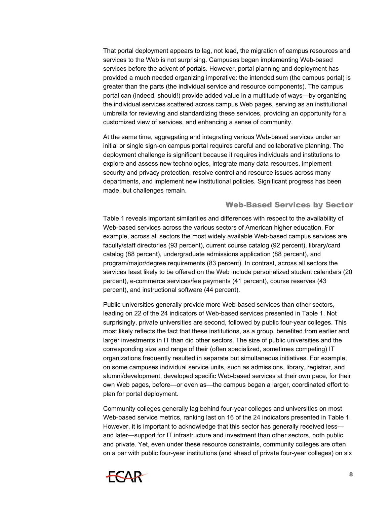That portal deployment appears to lag, not lead, the migration of campus resources and services to the Web is not surprising. Campuses began implementing Web-based services before the advent of portals. However, portal planning and deployment has provided a much needed organizing imperative: the intended sum (the campus portal) is greater than the parts (the individual service and resource components). The campus portal can (indeed, should!) provide added value in a multitude of ways—by organizing the individual services scattered across campus Web pages, serving as an institutional umbrella for reviewing and standardizing these services, providing an opportunity for a customized view of services, and enhancing a sense of community.

At the same time, aggregating and integrating various Web-based services under an initial or single sign-on campus portal requires careful and collaborative planning. The deployment challenge is significant because it requires individuals and institutions to explore and assess new technologies, integrate many data resources, implement security and privacy protection, resolve control and resource issues across many departments, and implement new institutional policies. Significant progress has been made, but challenges remain.

#### Web-Based Services by Sector

Table 1 reveals important similarities and differences with respect to the availability of Web-based services across the various sectors of American higher education. For example, across all sectors the most widely available Web-based campus services are faculty/staff directories (93 percent), current course catalog (92 percent), library/card catalog (88 percent), undergraduate admissions application (88 percent), and program/major/degree requirements (83 percent). In contrast, across all sectors the services least likely to be offered on the Web include personalized student calendars (20 percent), e-commerce services/fee payments (41 percent), course reserves (43 percent), and instructional software (44 percent).

Public universities generally provide more Web-based services than other sectors, leading on 22 of the 24 indicators of Web-based services presented in Table 1. Not surprisingly, private universities are second, followed by public four-year colleges. This most likely reflects the fact that these institutions, as a group, benefited from earlier and larger investments in IT than did other sectors. The size of public universities and the corresponding size and range of their (often specialized, sometimes competing) IT organizations frequently resulted in separate but simultaneous initiatives. For example, on some campuses individual service units, such as admissions, library, registrar, and alumni/development, developed specific Web-based services at their own pace, for their own Web pages, before—or even as—the campus began a larger, coordinated effort to plan for portal deployment.

Community colleges generally lag behind four-year colleges and universities on most Web-based service metrics, ranking last on 16 of the 24 indicators presented in Table 1. However, it is important to acknowledge that this sector has generally received less and later—support for IT infrastructure and investment than other sectors, both public and private. Yet, even under these resource constraints, community colleges are often on a par with public four-year institutions (and ahead of private four-year colleges) on six

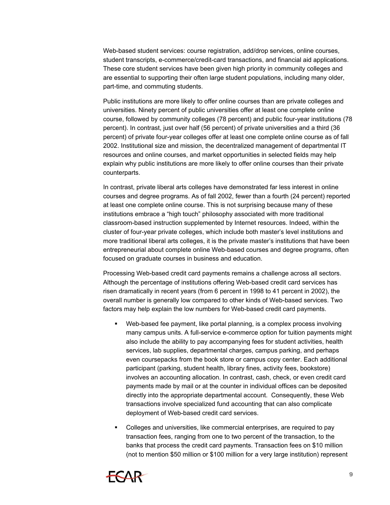Web-based student services: course registration, add/drop services, online courses, student transcripts, e-commerce/credit-card transactions, and financial aid applications. These core student services have been given high priority in community colleges and are essential to supporting their often large student populations, including many older, part-time, and commuting students.

Public institutions are more likely to offer online courses than are private colleges and universities. Ninety percent of public universities offer at least one complete online course, followed by community colleges (78 percent) and public four-year institutions (78 percent). In contrast, just over half (56 percent) of private universities and a third (36 percent) of private four-year colleges offer at least one complete online course as of fall 2002. Institutional size and mission, the decentralized management of departmental IT resources and online courses, and market opportunities in selected fields may help explain why public institutions are more likely to offer online courses than their private counterparts.

In contrast, private liberal arts colleges have demonstrated far less interest in online courses and degree programs. As of fall 2002, fewer than a fourth (24 percent) reported at least one complete online course. This is not surprising because many of these institutions embrace a "high touch" philosophy associated with more traditional classroom-based instruction supplemented by Internet resources. Indeed, within the cluster of four-year private colleges, which include both master's level institutions and more traditional liberal arts colleges, it is the private master's institutions that have been entrepreneurial about complete online Web-based courses and degree programs, often focused on graduate courses in business and education.

Processing Web-based credit card payments remains a challenge across all sectors. Although the percentage of institutions offering Web-based credit card services has risen dramatically in recent years (from 6 percent in 1998 to 41 percent in 2002), the overall number is generally low compared to other kinds of Web-based services. Two factors may help explain the low numbers for Web-based credit card payments.

- $\blacksquare$ Web-based fee payment, like portal planning, is a complex process involving many campus units. A full-service e-commerce option for tuition payments might also include the ability to pay accompanying fees for student activities, health services, lab supplies, departmental charges, campus parking, and perhaps even coursepacks from the book store or campus copy center. Each additional participant (parking, student health, library fines, activity fees, bookstore) involves an accounting allocation. In contrast, cash, check, or even credit card payments made by mail or at the counter in individual offices can be deposited directly into the appropriate departmental account. Consequently, these Web transactions involve specialized fund accounting that can also complicate deployment of Web-based credit card services.
- . Colleges and universities, like commercial enterprises, are required to pay transaction fees, ranging from one to two percent of the transaction, to the banks that process the credit card payments. Transaction fees on \$10 million (not to mention \$50 million or \$100 million for a very large institution) represent

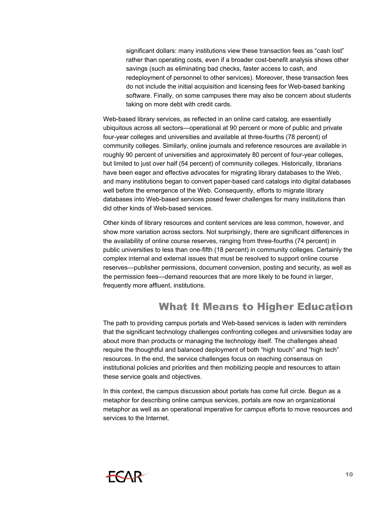significant dollars: many institutions view these transaction fees as "cash lost" rather than operating costs, even if a broader cost-benefit analysis shows other savings (such as eliminating bad checks, faster access to cash, and redeployment of personnel to other services). Moreover, these transaction fees do not include the initial acquisition and licensing fees for Web-based banking software. Finally, on some campuses there may also be concern about students taking on more debt with credit cards.

Web-based library services, as reflected in an online card catalog, are essentially ubiquitous across all sectors—operational at 90 percent or more of public and private four-year colleges and universities and available at three-fourths (78 percent) of community colleges. Similarly, online journals and reference resources are available in roughly 90 percent of universities and approximately 80 percent of four-year colleges, but limited to just over half (54 percent) of community colleges. Historically, librarians have been eager and effective advocates for migrating library databases to the Web, and many institutions began to convert paper-based card catalogs into digital databases well before the emergence of the Web. Consequently, efforts to migrate library databases into Web-based services posed fewer challenges for many institutions than did other kinds of Web-based services.

Other kinds of library resources and content services are less common, however, and show more variation across sectors. Not surprisingly, there are significant differences in the availability of online course reserves, ranging from three-fourths (74 percent) in public universities to less than one-fifth (18 percent) in community colleges. Certainly the complex internal and external issues that must be resolved to support online course reserves—publisher permissions, document conversion, posting and security, as well as the permission fees—demand resources that are more likely to be found in larger, frequently more affluent, institutions.

### What It Means to Higher Education

The path to providing campus portals and Web-based services is laden with reminders that the significant technology challenges confronting colleges and universities today are about more than products or managing the technology itself. The challenges ahead require the thoughtful and balanced deployment of both "high touch" and "high tech" resources. In the end, the service challenges focus on reaching consensus on institutional policies and priorities and then mobilizing people and resources to attain these service goals and objectives.

In this context, the campus discussion about portals has come full circle. Begun as a metaphor for describing online campus services, portals are now an organizational metaphor as well as an operational imperative for campus efforts to move resources and services to the Internet.

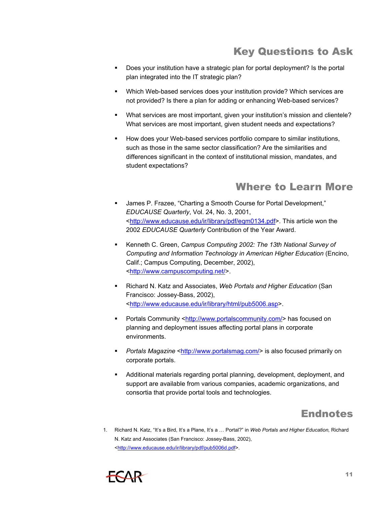# Key Questions to Ask

- $\mathbf{R}^{\text{max}}$ Does your institution have a strategic plan for portal deployment? Is the portal plan integrated into the IT strategic plan?
- Which Web-based services does your institution provide? Which services are not provided? Is there a plan for adding or enhancing Web-based services?
- $\blacksquare$ What services are most important, given your institution's mission and clientele? What services are most important, given student needs and expectations?
- How does your Web-based services portfolio compare to similar institutions, such as those in the same sector classification? Are the similarities and differences significant in the context of institutional mission, mandates, and student expectations?

### Where to Learn More

- : James P. Frazee, "Charting a Smooth Course for Portal Development," *EDUCAUSE Quarterly*, Vol. 24, No. 3, 2001, <<http://www.educause.edu/ir/library/pdf/eqm0134.pdf>>. This article won the 2002 *EDUCAUSE Quarterly* Contribution of the Year Award.
- Kenneth C. Green, *Campus Computing 2002: The 13th National Survey of Computing and Information Technology in American Higher Education* (Encino, Calif.; Campus Computing, December, 2002), <[http://www.campuscomputing.net/>](http://www.campuscomputing.net/).
- Richard N. Katz and Associates, *Web Portals and Higher Education* (San Francisco: Jossey-Bass, 2002), <[http://www.educause.edu/ir/library/html/pub5006.asp>](http://www.educause.edu/ir/library/html/pub5006.asp).
- Portals Community [<http://www.portalscommunity.com/](http://www.portalscommunity.com/)> has focused on planning and deployment issues affecting portal plans in corporate environments.
- **Portals Magazine** <<http://www.portalsmag.com/>> is also focused primarily on corporate portals.
- Additional materials regarding portal planning, development, deployment, and support are available from various companies, academic organizations, and consortia that provide portal tools and technologies.

# Endnotes

1. Richard N. Katz, "It's a Bird, It's a Plane, It's a … Portal?" in *Web Portals and Higher Education,* Richard N. Katz and Associates (San Francisco: Jossey-Bass, 2002), <[http://www.educause.edu/ir/library/pdf/pub5006d.pdf>](http://www.educause.edu/ir/library/pdf/pub5006d.pdf).